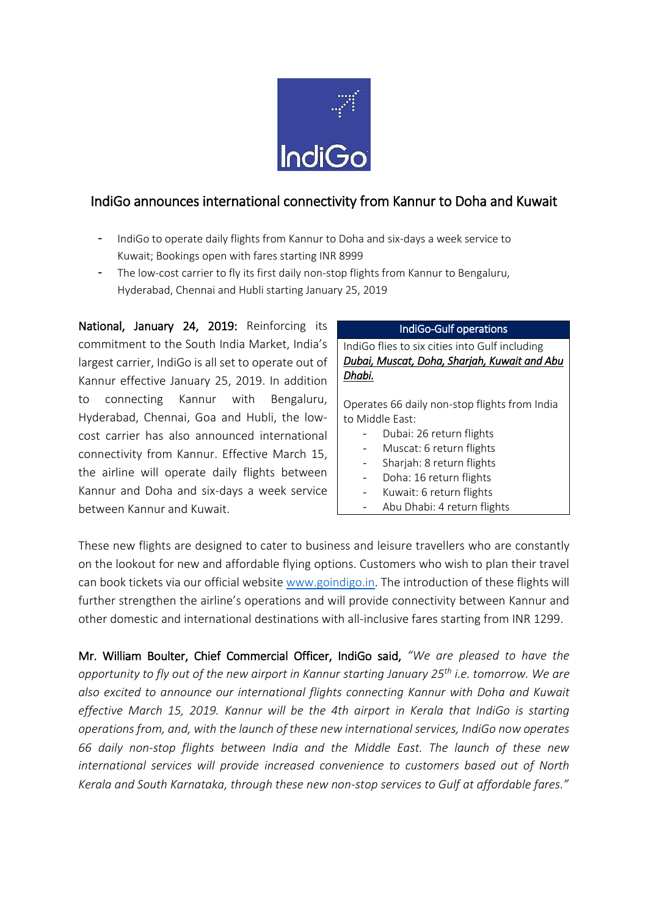

## IndiGo announces international connectivity from Kannur to Doha and Kuwait

- IndiGo to operate daily flights from Kannur to Doha and six-days a week service to Kuwait; Bookings open with fares starting INR 8999
- The low-cost carrier to fly its first daily non-stop flights from Kannur to Bengaluru, Hyderabad, Chennai and Hubli starting January 25, 2019

National, January 24, 2019: Reinforcing its commitment to the South India Market, India's largest carrier, IndiGo is all set to operate out of Kannur effective January 25, 2019. In addition to connecting Kannur with Bengaluru, Hyderabad, Chennai, Goa and Hubli, the lowcost carrier has also announced international connectivity from Kannur. Effective March 15, the airline will operate daily flights between Kannur and Doha and six-days a week service between Kannur and Kuwait.

## IndiGo-Gulf operations

IndiGo flies to six cities into Gulf including *Dubai, Muscat, Doha, Sharjah, Kuwait and Abu Dhabi.*

Operates 66 daily non-stop flights from India to Middle East:

- Dubai: 26 return flights
- Muscat: 6 return flights
- Sharjah: 8 return flights
- Doha: 16 return flights
- Kuwait: 6 return flights
- Abu Dhabi: 4 return flights

These new flights are designed to cater to business and leisure travellers who are constantly on the lookout for new and affordable flying options. Customers who wish to plan their travel can book tickets via our official website [www.goindigo.in.](http://www.goindigo.in/) The introduction of these flights will further strengthen the airline's operations and will provide connectivity between Kannur and other domestic and international destinations with all-inclusive fares starting from INR 1299.

Mr. William Boulter, Chief Commercial Officer, IndiGo said, *"We are pleased to have the opportunity to fly out of the new airport in Kannur starting January 25th i.e. tomorrow. We are also excited to announce our international flights connecting Kannur with Doha and Kuwait effective March 15, 2019. Kannur will be the 4th airport in Kerala that IndiGo is starting operations from, and, with the launch of these new international services, IndiGo now operates 66 daily non-stop flights between India and the Middle East. The launch of these new international services will provide increased convenience to customers based out of North Kerala and South Karnataka, through these new non-stop services to Gulf at affordable fares."*